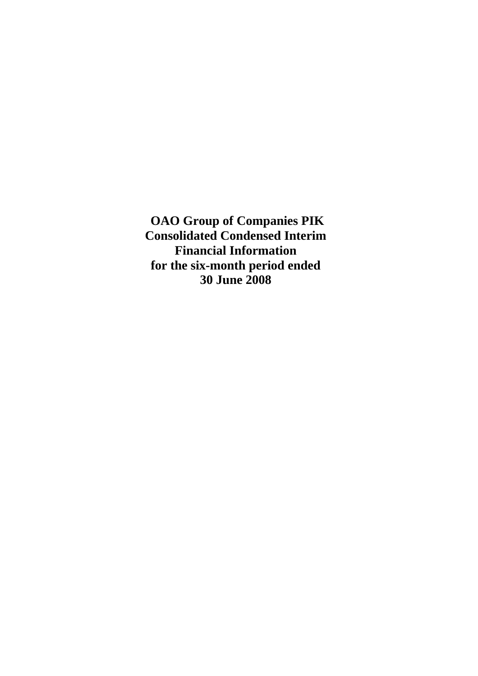**OAO Group of Companies PIK Consolidated Condensed Interim Financial Information for the six-month period ended 30 June 2008**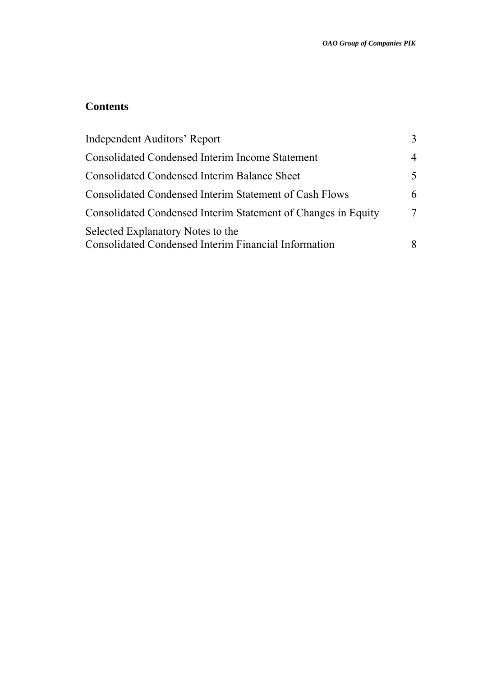# **Contents**

| <b>Independent Auditors' Report</b>                                                              |               |
|--------------------------------------------------------------------------------------------------|---------------|
| <b>Consolidated Condensed Interim Income Statement</b>                                           | 4             |
| <b>Consolidated Condensed Interim Balance Sheet</b>                                              | $\mathcal{F}$ |
| <b>Consolidated Condensed Interim Statement of Cash Flows</b>                                    | 6             |
| Consolidated Condensed Interim Statement of Changes in Equity                                    |               |
| Selected Explanatory Notes to the<br><b>Consolidated Condensed Interim Financial Information</b> |               |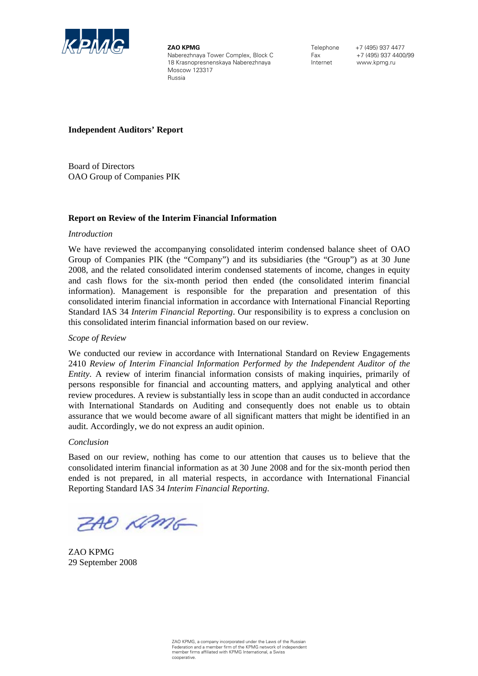

**ZAO KPMG**  Naberezhnaya Tower Complex, Block C 18 Krasnopresnenskaya Naberezhnaya Moscow 123317 Russia

Telephone +7 (495) 937 4477 Fax +7 (495) 937 4400/99 Internet www.kpmg.ru

### **Independent Auditors' Report**

Board of Directors OAO Group of Companies PIK

### **Report on Review of the Interim Financial Information**

### *Introduction*

We have reviewed the accompanying consolidated interim condensed balance sheet of OAO Group of Companies PIK (the "Company") and its subsidiaries (the "Group") as at 30 June 2008, and the related consolidated interim condensed statements of income, changes in equity and cash flows for the six-month period then ended (the consolidated interim financial information). Management is responsible for the preparation and presentation of this consolidated interim financial information in accordance with International Financial Reporting Standard IAS 34 *Interim Financial Reporting*. Our responsibility is to express a conclusion on this consolidated interim financial information based on our review.

### *Scope of Review*

We conducted our review in accordance with International Standard on Review Engagements 2410 *Review of Interim Financial Information Performed by the Independent Auditor of the Entity*. A review of interim financial information consists of making inquiries, primarily of persons responsible for financial and accounting matters, and applying analytical and other review procedures. A review is substantially less in scope than an audit conducted in accordance with International Standards on Auditing and consequently does not enable us to obtain assurance that we would become aware of all significant matters that might be identified in an audit. Accordingly, we do not express an audit opinion.

### *Conclusion*

Based on our review, nothing has come to our attention that causes us to believe that the consolidated interim financial information as at 30 June 2008 and for the six-month period then ended is not prepared, in all material respects, in accordance with International Financial Reporting Standard IAS 34 *Interim Financial Reporting*.

ZAO KPMG

ZAO KPMG 29 September 2008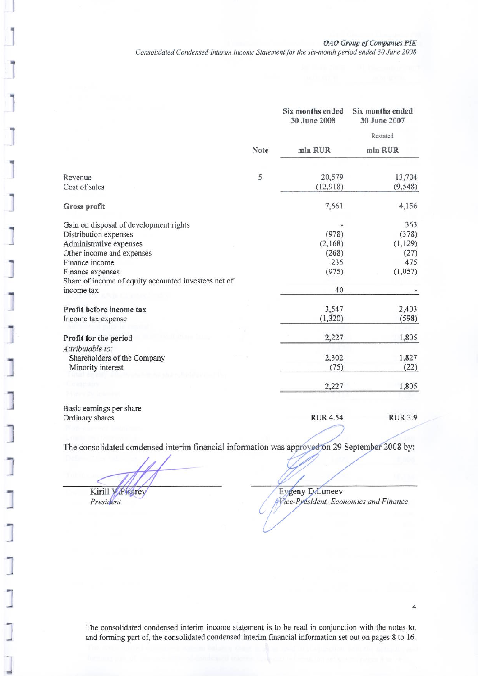**0AO Group of Companies PIK** 

Consolidated Condensed Interim Income Statement for the six-month period ended 30 June 2008

|                                                      |      | Six months ended<br>30 June 2008 | Six months ended<br>30 June 2007 |
|------------------------------------------------------|------|----------------------------------|----------------------------------|
|                                                      |      |                                  | Restated                         |
|                                                      | Note | mln RUR                          | mln RUR                          |
|                                                      | 5    | 20,579                           | 13,704                           |
| Revenue<br>Cost of sales                             |      | (12,918)                         | (9, 548)                         |
| Gross profit                                         |      | 7,661                            | 4,156                            |
| Gain on disposal of development rights               |      |                                  | 363                              |
| Distribution expenses                                |      | (978)                            | (378)                            |
| Administrative expenses                              |      | (2,168)                          | (1, 129)                         |
| Other income and expenses                            |      | (268)                            | (27)                             |
| Finance income                                       |      | 235                              | 475                              |
| Finance expenses                                     |      | (975)                            | (1,057)                          |
| Share of income of equity accounted investees net of |      |                                  |                                  |
| income tax                                           |      | 40                               |                                  |
| Profit before income tax                             |      | 3,547                            | 2,403                            |
| Income tax expense                                   |      | (1, 320)                         | (598)                            |
| Profit for the period                                |      | 2,227                            | 1,805                            |
| Attributable to:                                     |      |                                  |                                  |
| Shareholders of the Company                          |      | 2,302                            | 1,827                            |
| Minority interest                                    |      | (75)                             | (22)                             |
|                                                      |      | 2,227                            | 1,805                            |
|                                                      |      |                                  |                                  |

Basic earnings per share Ordinary shares

**RUR 4.54 RUR 3.9** 

The consolidated condensed interim financial information was approved on 29 September 2008 by:

Kirill V Pisarey

President

Eygeny D.Luneev Wice-President, Economics and Finance

The consolidated condensed interim income statement is to be read in conjunction with the notes to, and forming part of, the consolidated condensed interim financial information set out on pages 8 to 16.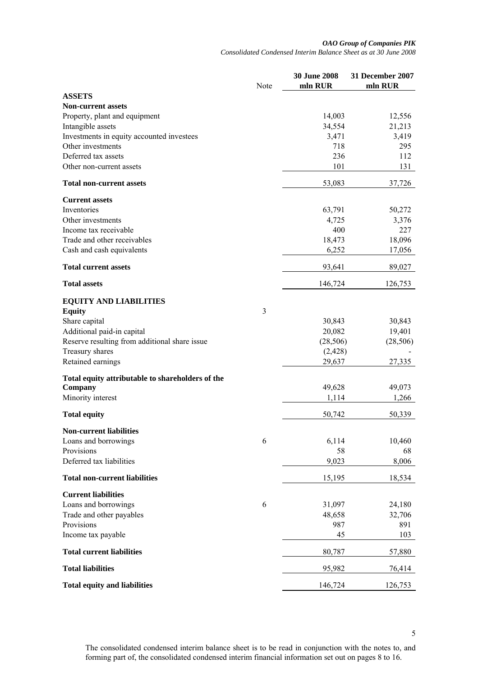#### *OAO Group of Companies PIK Consolidated Condensed Interim Balance Sheet as at 30 June 2008*

|                                                  | Note | <b>30 June 2008</b><br>mln RUR | 31 December 2007<br>mln RUR |
|--------------------------------------------------|------|--------------------------------|-----------------------------|
| <b>ASSETS</b>                                    |      |                                |                             |
| <b>Non-current assets</b>                        |      |                                |                             |
| Property, plant and equipment                    |      | 14,003                         | 12,556                      |
| Intangible assets                                |      | 34,554                         | 21,213                      |
| Investments in equity accounted investees        |      | 3,471                          | 3,419                       |
| Other investments                                |      | 718                            | 295                         |
| Deferred tax assets                              |      | 236                            | 112                         |
| Other non-current assets                         |      | 101                            | 131                         |
| <b>Total non-current assets</b>                  |      | 53,083                         | 37,726                      |
| <b>Current assets</b>                            |      |                                |                             |
| Inventories                                      |      | 63,791                         | 50,272                      |
| Other investments                                |      | 4,725                          | 3,376                       |
| Income tax receivable                            |      | 400                            | 227                         |
| Trade and other receivables                      |      | 18,473                         | 18,096                      |
| Cash and cash equivalents                        |      | 6,252                          | 17,056                      |
| <b>Total current assets</b>                      |      | 93,641                         | 89,027                      |
| <b>Total assets</b>                              |      | 146,724                        | 126,753                     |
| <b>EQUITY AND LIABILITIES</b>                    |      |                                |                             |
| <b>Equity</b>                                    | 3    |                                |                             |
| Share capital                                    |      | 30,843                         | 30,843                      |
| Additional paid-in capital                       |      | 20,082                         | 19,401                      |
| Reserve resulting from additional share issue    |      | (28, 506)                      | (28, 506)                   |
| Treasury shares                                  |      | (2, 428)                       |                             |
| Retained earnings                                |      | 29,637                         | 27,335                      |
| Total equity attributable to shareholders of the |      |                                |                             |
| Company                                          |      | 49,628                         | 49,073                      |
| Minority interest                                |      | 1,114                          | 1,266                       |
| <b>Total equity</b>                              |      | 50,742                         | 50,339                      |
| <b>Non-current liabilities</b>                   |      |                                |                             |
| Loans and borrowings                             | 6    | 6,114                          | 10,460                      |
| Provisions                                       |      | 58                             | 68                          |
| Deferred tax liabilities                         |      | 9,023                          | 8,006                       |
| <b>Total non-current liabilities</b>             |      | 15,195                         | 18,534                      |
| <b>Current liabilities</b>                       |      |                                |                             |
| Loans and borrowings                             | 6    | 31,097                         | 24,180                      |
| Trade and other payables                         |      | 48,658                         | 32,706                      |
| Provisions                                       |      | 987                            | 891                         |
| Income tax payable                               |      | 45                             | 103                         |
| <b>Total current liabilities</b>                 |      | 80,787                         | 57,880                      |
| <b>Total liabilities</b>                         |      | 95,982                         | 76,414                      |
| <b>Total equity and liabilities</b>              |      | 146,724                        | 126,753                     |

The consolidated condensed interim balance sheet is to be read in conjunction with the notes to, and forming part of, the consolidated condensed interim financial information set out on pages 8 to 16.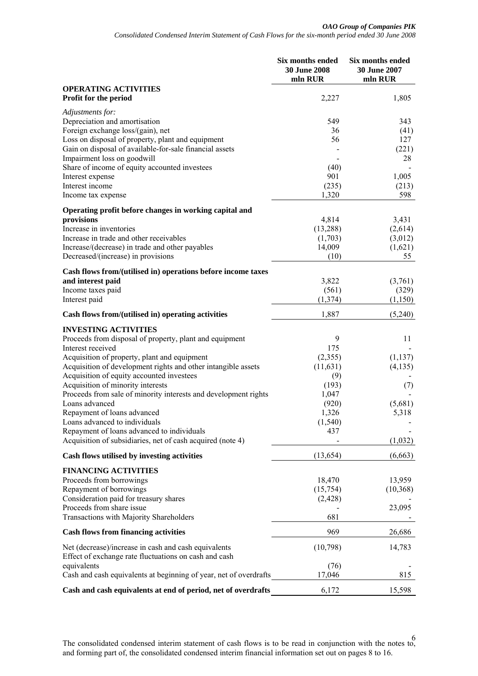|                                                                                   | Six months ended<br><b>30 June 2008</b><br>mln RUR | Six months ended<br>30 June 2007<br>mln RUR |
|-----------------------------------------------------------------------------------|----------------------------------------------------|---------------------------------------------|
| <b>OPERATING ACTIVITIES</b>                                                       |                                                    |                                             |
| Profit for the period                                                             | 2,227                                              | 1,805                                       |
| Adjustments for:<br>Depreciation and amortisation                                 | 549                                                | 343                                         |
| Foreign exchange loss/(gain), net                                                 | 36                                                 | (41)                                        |
| Loss on disposal of property, plant and equipment                                 | 56                                                 | 127                                         |
| Gain on disposal of available-for-sale financial assets                           |                                                    | (221)                                       |
| Impairment loss on goodwill                                                       |                                                    | 28                                          |
| Share of income of equity accounted investees                                     | (40)                                               |                                             |
| Interest expense                                                                  | 901                                                | 1,005                                       |
| Interest income                                                                   | (235)                                              | (213)                                       |
| Income tax expense                                                                | 1,320                                              | 598                                         |
| Operating profit before changes in working capital and                            |                                                    |                                             |
| provisions                                                                        | 4,814                                              | 3,431                                       |
| Increase in inventories                                                           | (13, 288)                                          | (2,614)                                     |
| Increase in trade and other receivables                                           | (1,703)                                            | (3,012)                                     |
| Increase/(decrease) in trade and other payables                                   | 14,009                                             | (1,621)                                     |
| Decreased/(increase) in provisions                                                | (10)                                               | 55                                          |
| Cash flows from/(utilised in) operations before income taxes                      |                                                    |                                             |
| and interest paid                                                                 | 3,822                                              | (3,761)                                     |
| Income taxes paid                                                                 | (561)                                              | (329)                                       |
| Interest paid                                                                     | (1, 374)                                           | (1,150)                                     |
| Cash flows from/(utilised in) operating activities                                | 1,887                                              | (5,240)                                     |
| <b>INVESTING ACTIVITIES</b>                                                       |                                                    |                                             |
| Proceeds from disposal of property, plant and equipment                           | 9                                                  | 11                                          |
| Interest received                                                                 | 175                                                |                                             |
| Acquisition of property, plant and equipment                                      | (2,355)                                            | (1, 137)                                    |
| Acquisition of development rights and other intangible assets                     | (11,631)                                           | (4,135)                                     |
| Acquisition of equity accounted investees                                         | (9)                                                |                                             |
| Acquisition of minority interests                                                 | (193)                                              | (7)                                         |
| Proceeds from sale of minority interests and development rights<br>Loans advanced | 1,047                                              |                                             |
| Repayment of loans advanced                                                       | (920)<br>1,326                                     | (5,681)                                     |
| Loans advanced to individuals                                                     | (1, 540)                                           | 5,318                                       |
| Repayment of loans advanced to individuals                                        | 437                                                |                                             |
| Acquisition of subsidiaries, net of cash acquired (note 4)                        |                                                    | (1,032)                                     |
| Cash flows utilised by investing activities                                       | (13, 654)                                          | (6, 663)                                    |
| <b>FINANCING ACTIVITIES</b>                                                       |                                                    |                                             |
| Proceeds from borrowings                                                          | 18,470                                             | 13,959                                      |
| Repayment of borrowings                                                           | (15,754)                                           | (10, 368)                                   |
| Consideration paid for treasury shares                                            | (2, 428)                                           |                                             |
| Proceeds from share issue                                                         |                                                    | 23,095                                      |
| Transactions with Majority Shareholders                                           | 681                                                |                                             |
| <b>Cash flows from financing activities</b>                                       | 969                                                | 26,686                                      |
| Net (decrease)/increase in cash and cash equivalents                              | (10,798)                                           | 14,783                                      |
| Effect of exchange rate fluctuations on cash and cash                             |                                                    |                                             |
| equivalents                                                                       | (76)                                               |                                             |
| Cash and cash equivalents at beginning of year, net of overdrafts                 | 17,046                                             | 815                                         |
| Cash and cash equivalents at end of period, net of overdrafts                     | 6,172                                              | 15,598                                      |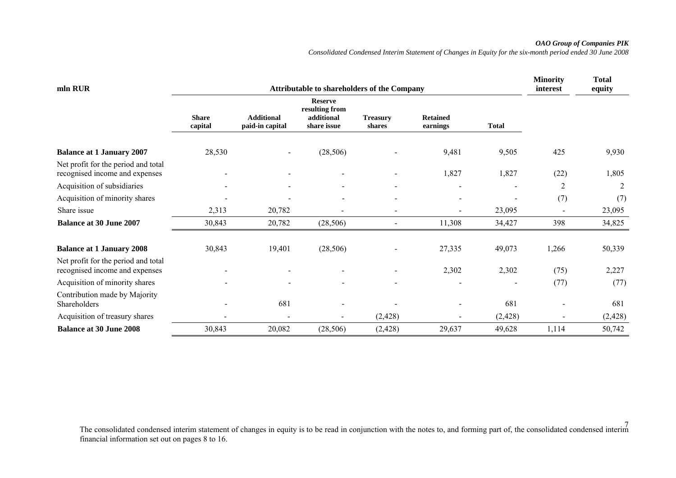### *OAO Group of Companies PIK*

*Consolidated Condensed Interim Statement of Changes in Equity for the six-month period ended 30 June 2008* 

| mln RUR                                                               |                         | <b>Minority</b><br>interest          | <b>Total</b><br>equity                                        |                           |                             |              |                          |          |
|-----------------------------------------------------------------------|-------------------------|--------------------------------------|---------------------------------------------------------------|---------------------------|-----------------------------|--------------|--------------------------|----------|
|                                                                       | <b>Share</b><br>capital | <b>Additional</b><br>paid-in capital | <b>Reserve</b><br>resulting from<br>additional<br>share issue | <b>Treasury</b><br>shares | <b>Retained</b><br>earnings | <b>Total</b> |                          |          |
| <b>Balance at 1 January 2007</b>                                      | 28,530                  | $\overline{\phantom{a}}$             | (28, 506)                                                     |                           | 9,481                       | 9,505        | 425                      | 9,930    |
| Net profit for the period and total<br>recognised income and expenses |                         |                                      | -                                                             |                           | 1,827                       | 1,827        | (22)                     | 1,805    |
| Acquisition of subsidiaries                                           |                         |                                      |                                                               | $\overline{\phantom{a}}$  |                             |              | $\overline{2}$           | 2        |
| Acquisition of minority shares                                        |                         |                                      | $\overline{\phantom{0}}$                                      | $\overline{\phantom{a}}$  |                             |              | (7)                      | (7)      |
| Share issue                                                           | 2,313                   | 20,782                               |                                                               | $\blacksquare$            |                             | 23,095       | $\overline{\phantom{0}}$ | 23,095   |
| <b>Balance at 30 June 2007</b>                                        | 30,843                  | 20,782                               | (28, 506)                                                     | $\blacksquare$            | 11,308                      | 34,427       | 398                      | 34,825   |
| <b>Balance at 1 January 2008</b>                                      | 30,843                  | 19,401                               | (28, 506)                                                     |                           | 27,335                      | 49,073       | 1,266                    | 50,339   |
| Net profit for the period and total<br>recognised income and expenses |                         | $\blacksquare$                       | $\overline{\phantom{0}}$                                      | $\overline{\phantom{a}}$  | 2,302                       | 2,302        | (75)                     | 2,227    |
| Acquisition of minority shares                                        |                         |                                      |                                                               |                           |                             |              | (77)                     | (77)     |
| Contribution made by Majority<br>Shareholders                         |                         | 681                                  |                                                               |                           |                             | 681          |                          | 681      |
| Acquisition of treasury shares                                        |                         |                                      | $\overline{a}$                                                | (2, 428)                  |                             | (2, 428)     |                          | (2, 428) |
| <b>Balance at 30 June 2008</b>                                        | 30,843                  | 20,082                               | (28, 506)                                                     | (2, 428)                  | 29,637                      | 49,628       | 1,114                    | 50,742   |

The consolidated condensed interim statement of changes in equity is to be read in conjunction with the notes to, and forming part of, the consolidated condensed interim financial information set out on pages 8 to 16.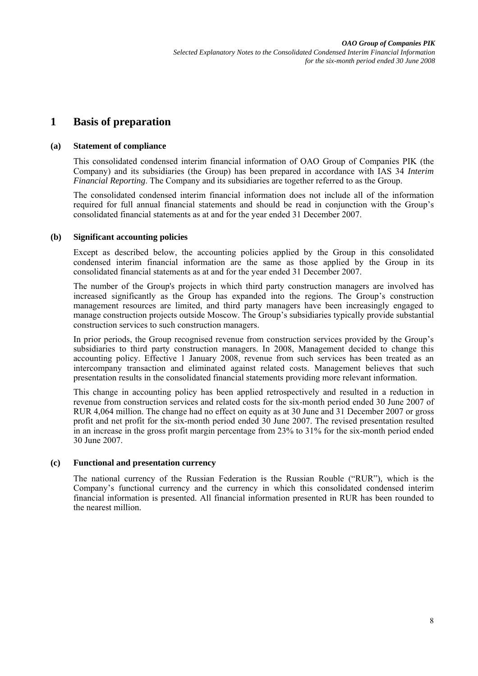# **1 Basis of preparation**

### **(a) Statement of compliance**

This consolidated condensed interim financial information of OAO Group of Companies PIK (the Company) and its subsidiaries (the Group) has been prepared in accordance with IAS 34 *Interim Financial Reporting*. The Company and its subsidiaries are together referred to as the Group.

The consolidated condensed interim financial information does not include all of the information required for full annual financial statements and should be read in conjunction with the Group's consolidated financial statements as at and for the year ended 31 December 2007.

### **(b) Significant accounting policies**

Except as described below, the accounting policies applied by the Group in this consolidated condensed interim financial information are the same as those applied by the Group in its consolidated financial statements as at and for the year ended 31 December 2007.

The number of the Group's projects in which third party construction managers are involved has increased significantly as the Group has expanded into the regions. The Group's construction management resources are limited, and third party managers have been increasingly engaged to manage construction projects outside Moscow. The Group's subsidiaries typically provide substantial construction services to such construction managers.

In prior periods, the Group recognised revenue from construction services provided by the Group's subsidiaries to third party construction managers. In 2008, Management decided to change this accounting policy. Effective 1 January 2008, revenue from such services has been treated as an intercompany transaction and eliminated against related costs. Management believes that such presentation results in the consolidated financial statements providing more relevant information.

This change in accounting policy has been applied retrospectively and resulted in a reduction in revenue from construction services and related costs for the six-month period ended 30 June 2007 of RUR 4,064 million. The change had no effect on equity as at 30 June and 31 December 2007 or gross profit and net profit for the six-month period ended 30 June 2007. The revised presentation resulted in an increase in the gross profit margin percentage from 23% to 31% for the six-month period ended 30 June 2007.

### **(c) Functional and presentation currency**

The national currency of the Russian Federation is the Russian Rouble ("RUR"), which is the Company's functional currency and the currency in which this consolidated condensed interim financial information is presented. All financial information presented in RUR has been rounded to the nearest million.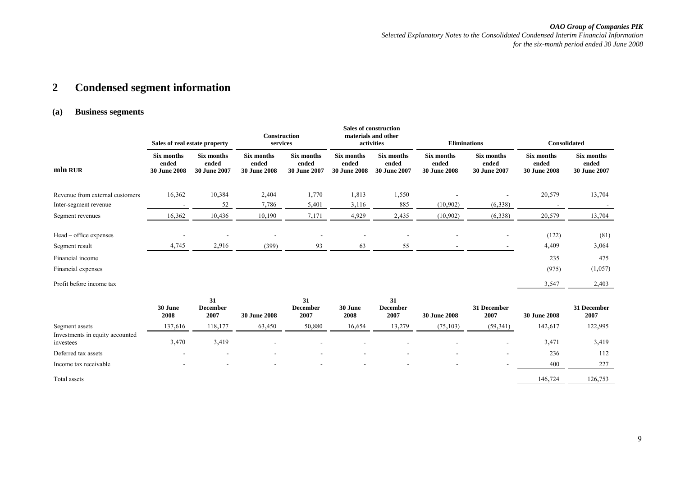*OAO Group of Companies PIK Selected Explanatory Notes to the Consolidated Condensed Interim Financial Information* 

*for the six-month period ended 30 June 2008* 

#### **2Condensed segment information**

### **(a) Business segments**

|                                 | Sales of real estate property              |                                     | <b>Construction</b><br>services            |                                            | <b>Sales of construction</b><br>materials and other<br>activities<br><b>Eliminations</b> |                                     |                                     |                                     |                                            |                                     | <b>Consolidated</b> |  |
|---------------------------------|--------------------------------------------|-------------------------------------|--------------------------------------------|--------------------------------------------|------------------------------------------------------------------------------------------|-------------------------------------|-------------------------------------|-------------------------------------|--------------------------------------------|-------------------------------------|---------------------|--|
| mln RUR                         | Six months<br>ended<br><b>30 June 2008</b> | Six months<br>ended<br>30 June 2007 | Six months<br>ended<br><b>30 June 2008</b> | Six months<br>ended<br><b>30 June 2007</b> | Six months<br>ended<br><b>30 June 2008</b>                                               | Six months<br>ended<br>30 June 2007 | Six months<br>ended<br>30 June 2008 | Six months<br>ended<br>30 June 2007 | Six months<br>ended<br><b>30 June 2008</b> | Six months<br>ended<br>30 June 2007 |                     |  |
|                                 |                                            |                                     |                                            |                                            |                                                                                          |                                     |                                     |                                     |                                            |                                     |                     |  |
| Revenue from external customers | 16,362                                     | 10,384                              | 2,404                                      | 1,770                                      | 1,813                                                                                    | 1,550                               |                                     |                                     | 20,579                                     | 13,704                              |                     |  |
| Inter-segment revenue           |                                            | 52                                  | 7,786                                      | 5,401                                      | 3,116                                                                                    | 885                                 | (10,902)                            | (6,338)                             |                                            |                                     |                     |  |
| Segment revenues                | 16,362                                     | 10,436                              | 10,190                                     | 7,171                                      | 4,929                                                                                    | 2,435                               | (10, 902)                           | (6,338)                             | 20,579                                     | 13,704                              |                     |  |
| Head – office expenses          |                                            |                                     |                                            |                                            | $\overline{\phantom{a}}$                                                                 |                                     |                                     | $\overline{\phantom{a}}$            | (122)                                      | (81)                                |                     |  |
| Segment result                  | 4,745                                      | 2,916                               | (399)                                      | 93                                         | 63                                                                                       | 55                                  |                                     |                                     | 4,409                                      | 3,064                               |                     |  |
| Financial income                |                                            |                                     |                                            |                                            |                                                                                          |                                     |                                     |                                     | 235                                        | 475                                 |                     |  |
| Financial expenses              |                                            |                                     |                                            |                                            |                                                                                          |                                     |                                     |                                     | (975)                                      | (1,057)                             |                     |  |
| Profit before income tax        |                                            |                                     |                                            |                                            |                                                                                          |                                     |                                     |                                     | 3,547                                      | 2,403                               |                     |  |

|                                              | 30 June<br>2008 | 31<br><b>December</b><br>2007 | <b>30 June 2008</b> | 31<br><b>December</b><br>2007 | 30 June<br>2008 | 31<br><b>December</b><br>2007 | <b>30 June 2008</b>      | 31 December<br>2007 | <b>30 June 2008</b> | 31 December<br>2007 |
|----------------------------------------------|-----------------|-------------------------------|---------------------|-------------------------------|-----------------|-------------------------------|--------------------------|---------------------|---------------------|---------------------|
| Segment assets                               | 137,616         | 118,177                       | 63,450              | 50,880                        | 16,654          | 13,279                        | (75, 103)                | (59, 341)           | 142,617             | 122,995             |
| Investments in equity accounted<br>investees | 3,470           | 3,419                         |                     | $\overline{\phantom{a}}$      |                 |                               | $\overline{\phantom{a}}$ |                     | 3,471               | 3,419               |
| Deferred tax assets                          | $\sim$          |                               | ۰                   | $\overline{\phantom{0}}$      |                 |                               |                          | -                   | 236                 | 112                 |
| Income tax receivable                        |                 |                               |                     | $\overline{\phantom{a}}$      |                 |                               | -                        |                     | 400                 | 227                 |
| Total assets                                 |                 |                               |                     |                               |                 |                               |                          |                     | 146,724             | 126,753             |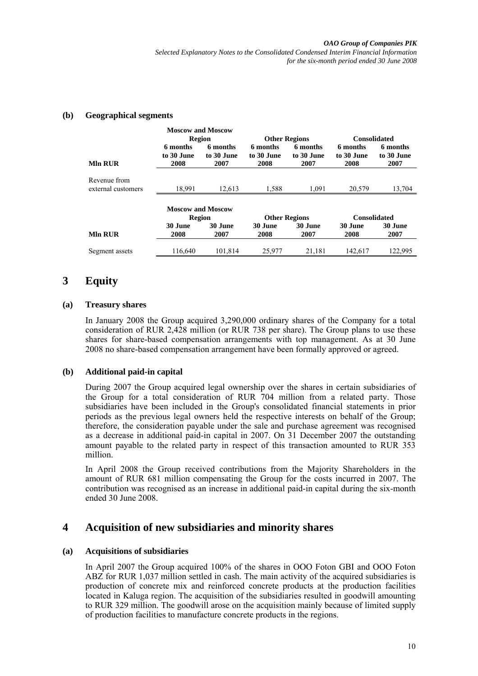#### *OAO Group of Companies PIK*

*Selected Explanatory Notes to the Consolidated Condensed Interim Financial Information for the six-month period ended 30 June 2008* 

### **(b) Geographical segments**

|                                    | <b>Moscow and Moscow</b>           |                        |                        |                        |                        |                        |
|------------------------------------|------------------------------------|------------------------|------------------------|------------------------|------------------------|------------------------|
|                                    | <b>Region</b>                      |                        | <b>Other Regions</b>   |                        | <b>Consolidated</b>    |                        |
|                                    | 6 months<br>to 30 June             | 6 months<br>to 30 June | 6 months<br>to 30 June | 6 months<br>to 30 June | 6 months<br>to 30 June | 6 months<br>to 30 June |
| <b>MIn RUR</b>                     | 2008                               | 2007                   | 2008                   | 2007                   | 2008                   | 2007                   |
| Revenue from<br>external customers | 18,991                             | 12,613                 | 1,588                  | 1,091                  | 20,579                 | 13,704                 |
|                                    | <b>Moscow and Moscow</b><br>Region |                        | <b>Other Regions</b>   |                        | <b>Consolidated</b>    |                        |
| <b>MIn RUR</b>                     | 30 June<br>2008                    | 30 June<br>2007        | 30 June<br>2008        | 30 June<br>2007        | 30 June<br>2008        | 30 June<br>2007        |
| Segment assets                     | 116,640                            | 101,814                | 25,977                 | 21,181                 | 142,617                | 122,995                |

# **3 Equity**

### **(a) Treasury shares**

In January 2008 the Group acquired 3,290,000 ordinary shares of the Company for a total consideration of RUR 2,428 million (or RUR 738 per share). The Group plans to use these shares for share-based compensation arrangements with top management. As at 30 June 2008 no share-based compensation arrangement have been formally approved or agreed.

### **(b) Additional paid-in capital**

During 2007 the Group acquired legal ownership over the shares in certain subsidiaries of the Group for a total consideration of RUR 704 million from a related party. Those subsidiaries have been included in the Group's consolidated financial statements in prior periods as the previous legal owners held the respective interests on behalf of the Group; therefore, the consideration payable under the sale and purchase agreement was recognised as a decrease in additional paid-in capital in 2007. On 31 December 2007 the outstanding amount payable to the related party in respect of this transaction amounted to RUR 353 million.

In April 2008 the Group received contributions from the Majority Shareholders in the amount of RUR 681 million compensating the Group for the costs incurred in 2007. The contribution was recognised as an increase in additional paid-in capital during the six-month ended 30 June 2008.

# **4 Acquisition of new subsidiaries and minority shares**

### **(a) Acquisitions of subsidiaries**

In April 2007 the Group acquired 100% of the shares in OOO Foton GBI and OOO Foton ABZ for RUR 1,037 million settled in cash. The main activity of the acquired subsidiaries is production of concrete mix and reinforced concrete products at the production facilities located in Kaluga region. The acquisition of the subsidiaries resulted in goodwill amounting to RUR 329 million. The goodwill arose on the acquisition mainly because of limited supply of production facilities to manufacture concrete products in the regions.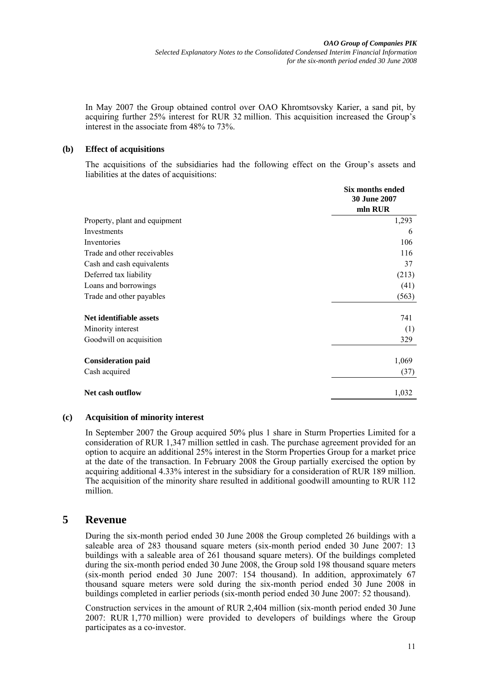In May 2007 the Group obtained control over ОАО Khromtsovsky Karier, a sand pit, by acquiring further 25% interest for RUR 32 million. This acquisition increased the Group's interest in the associate from 48% to 73%.

### **(b) Effect of acquisitions**

The acquisitions of the subsidiaries had the following effect on the Group's assets and liabilities at the dates of acquisitions:

|                               | Six months ended<br><b>30 June 2007</b> |
|-------------------------------|-----------------------------------------|
|                               | mln RUR                                 |
| Property, plant and equipment | 1,293                                   |
| Investments                   | 6                                       |
| Inventories                   | 106                                     |
| Trade and other receivables   | 116                                     |
| Cash and cash equivalents     | 37                                      |
| Deferred tax liability        | (213)                                   |
| Loans and borrowings          | (41)                                    |
| Trade and other payables      | (563)                                   |
| Net identifiable assets       | 741                                     |
| Minority interest             | (1)                                     |
| Goodwill on acquisition       | 329                                     |
| <b>Consideration paid</b>     | 1,069                                   |
| Cash acquired                 | (37)                                    |
| Net cash outflow              | 1,032                                   |

### **(c) Acquisition of minority interest**

In September 2007 the Group acquired 50% plus 1 share in Sturm Properties Limited for a consideration of RUR 1,347 million settled in cash. The purchase agreement provided for an option to acquire an additional 25% interest in the Storm Properties Group for a market price at the date of the transaction. In February 2008 the Group partially exercised the option by acquiring additional 4.33% interest in the subsidiary for a consideration of RUR 189 million. The acquisition of the minority share resulted in additional goodwill amounting to RUR 112 million.

# **5 Revenue**

During the six-month period ended 30 June 2008 the Group completed 26 buildings with a saleable area of 283 thousand square meters (six-month period ended 30 June 2007: 13 buildings with a saleable area of 261 thousand square meters). Of the buildings completed during the six-month period ended 30 June 2008, the Group sold 198 thousand square meters (six-month period ended 30 June 2007: 154 thousand). In addition, approximately 67 thousand square meters were sold during the six-month period ended 30 June 2008 in buildings completed in earlier periods (six-month period ended 30 June 2007: 52 thousand).

Construction services in the amount of RUR 2,404 million (six-month period ended 30 June 2007: RUR 1,770 million) were provided to developers of buildings where the Group participates as a co-investor.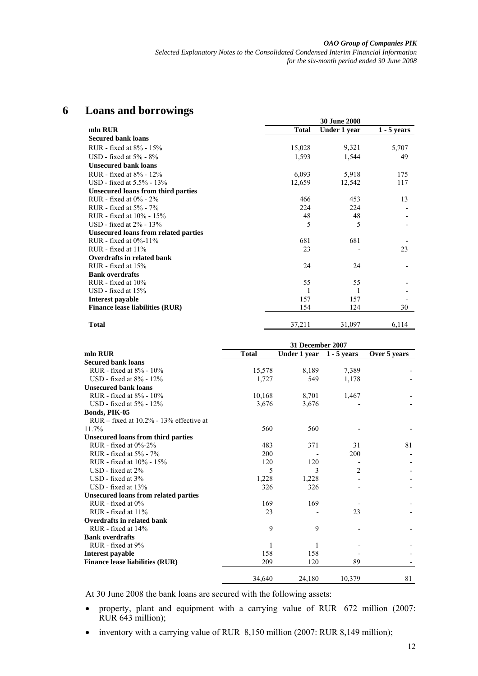| 6 |  |  | <b>Loans and borrowings</b> |
|---|--|--|-----------------------------|
|---|--|--|-----------------------------|

| mln RUR                                     | <b>Total</b> | Under 1 year | $1 - 5$ years |
|---------------------------------------------|--------------|--------------|---------------|
| <b>Secured bank loans</b>                   |              |              |               |
| RUR - fixed at 8% - 15%                     | 15,028       | 9,321        | 5,707         |
| USD - fixed at $5\%$ - $8\%$                | 1,593        | 1,544        | 49            |
| <b>Unsecured bank loans</b>                 |              |              |               |
| RUR - fixed at 8% - 12%                     | 6,093        | 5,918        | 175           |
| USD - fixed at 5.5% - 13%                   | 12,659       | 12,542       | 117           |
| Unsecured loans from third parties          |              |              |               |
| RUR - fixed at $0\%$ - $2\%$                | 466          | 453          | 13            |
| RUR - fixed at 5% - 7%                      | 224          | 224          |               |
| RUR - fixed at 10% - 15%                    | 48           | 48           |               |
| USD - fixed at $2\%$ - 13%                  | 5            | 5            |               |
| <b>Unsecured loans from related parties</b> |              |              |               |
| RUR - fixed at $0\%$ -11%                   | 681          | 681          |               |
| RUR - fixed at 11%                          | 23           |              | 23            |
| Overdrafts in related bank                  |              |              |               |
| RUR - fixed at $15%$                        | 24           | 24           |               |
| <b>Bank overdrafts</b>                      |              |              |               |
| RUR - fixed at 10%                          | 55           | 55           |               |
| $USD$ - fixed at $15\%$                     |              |              |               |
| Interest payable                            | 157          | 157          |               |
| <b>Finance lease liabilities (RUR)</b>      | 154          | 124          | 30            |
| <b>Total</b>                                | 37,211       | 31,097       | 6,114         |

|                                             | 31 December 2007 |              |               |              |  |  |
|---------------------------------------------|------------------|--------------|---------------|--------------|--|--|
| mln RUR                                     | <b>Total</b>     | Under 1 year | $1 - 5$ years | Over 5 years |  |  |
| <b>Secured bank loans</b>                   |                  |              |               |              |  |  |
| RUR - fixed at 8% - 10%                     | 15,578           | 8,189        | 7,389         |              |  |  |
| USD - fixed at $8\%$ - $12\%$               | 1,727            | 549          | 1,178         |              |  |  |
| <b>Unsecured bank loans</b>                 |                  |              |               |              |  |  |
| RUR - fixed at 8% - 10%                     | 10,168           | 8,701        | 1,467         |              |  |  |
| USD - fixed at $5\%$ - $12\%$               | 3,676            | 3,676        |               |              |  |  |
| Bonds, PIK-05                               |                  |              |               |              |  |  |
| $RUR - fixed$ at 10.2% - 13% effective at   |                  |              |               |              |  |  |
| 11.7%                                       | 560              | 560          |               |              |  |  |
| <b>Unsecured loans from third parties</b>   |                  |              |               |              |  |  |
| RUR - fixed at $0\% - 2\%$                  | 483              | 371          | 31            | 81           |  |  |
| RUR - fixed at 5% - 7%                      | 200              |              | 200           |              |  |  |
| RUR - fixed at 10% - 15%                    | 120              | 120          |               |              |  |  |
| $USD$ - fixed at $2\%$                      | 5                | 3            | 2             |              |  |  |
| USD - fixed at $3\%$                        | 1,228            | 1,228        |               |              |  |  |
| $USD$ - fixed at $13\%$                     | 326              | 326          |               |              |  |  |
| <b>Unsecured loans from related parties</b> |                  |              |               |              |  |  |
| RUR - fixed at 0%                           | 169              | 169          |               |              |  |  |
| $RUR - fixed$ at 11%                        | 23               |              | 23            |              |  |  |
| Overdrafts in related bank                  |                  |              |               |              |  |  |
| RUR - fixed at 14%                          | 9                | 9            |               |              |  |  |
| <b>Bank overdrafts</b>                      |                  |              |               |              |  |  |
| RUR - fixed at 9%                           | 1                |              |               |              |  |  |
| Interest payable                            | 158              | 158          |               |              |  |  |
| <b>Finance lease liabilities (RUR)</b>      | 209              | 120          | 89            |              |  |  |
|                                             | 34.640           | 24,180       | 10,379        | 81           |  |  |

At 30 June 2008 the bank loans are secured with the following assets:

- property, plant and equipment with a carrying value of RUR 672 million (2007: RUR 643 million);
- inventory with a carrying value of RUR 8,150 million (2007: RUR 8,149 million);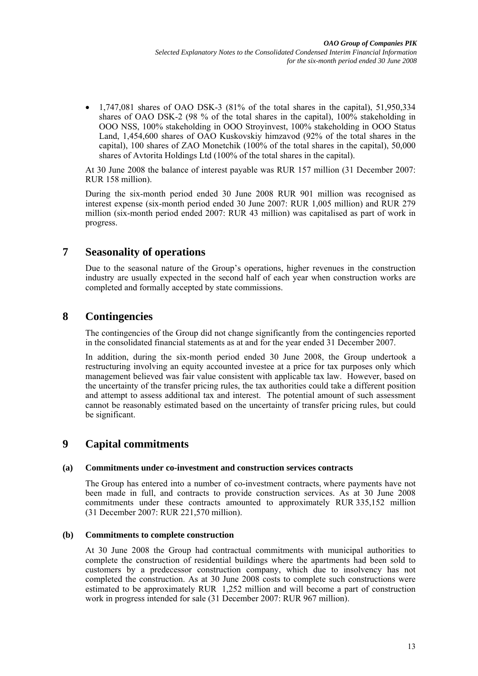• 1,747,081 shares of OAO DSK-3 (81% of the total shares in the capital), 51,950,334 shares of OAO DSK-2 (98 % of the total shares in the capital), 100% stakeholding in OOO NSS, 100% stakeholding in OOO Stroyinvest, 100% stakeholding in OOO Status Land, 1,454,600 shares of OAO Kuskovskiy himzavod (92% of the total shares in the capital), 100 shares of ZAO Monetchik (100% of the total shares in the capital), 50,000 shares of Avtorita Holdings Ltd (100% of the total shares in the capital).

At 30 June 2008 the balance of interest payable was RUR 157 million (31 December 2007: RUR 158 million).

During the six-month period ended 30 June 2008 RUR 901 million was recognised as interest expense (six-month period ended 30 June 2007: RUR 1,005 million) and RUR 279 million (six-month period ended 2007: RUR 43 million) was capitalised as part of work in progress.

# **7 Seasonality of operations**

Due to the seasonal nature of the Group's operations, higher revenues in the construction industry are usually expected in the second half of each year when construction works are completed and formally accepted by state commissions.

# **8 Contingencies**

The contingencies of the Group did not change significantly from the contingencies reported in the consolidated financial statements as at and for the year ended 31 December 2007.

In addition, during the six-month period ended 30 June 2008, the Group undertook a restructuring involving an equity accounted investee at a price for tax purposes only which management believed was fair value consistent with applicable tax law. However, based on the uncertainty of the transfer pricing rules, the tax authorities could take a different position and attempt to assess additional tax and interest. The potential amount of such assessment cannot be reasonably estimated based on the uncertainty of transfer pricing rules, but could be significant.

# **9 Capital commitments**

## **(a) Commitments under co-investment and construction services contracts**

The Group has entered into a number of co-investment contracts, where payments have not been made in full, and contracts to provide construction services. As at 30 June 2008 commitments under these contracts amounted to approximately RUR 335,152 million (31 December 2007: RUR 221,570 million).

## **(b) Commitments to complete construction**

At 30 June 2008 the Group had contractual commitments with municipal authorities to complete the construction of residential buildings where the apartments had been sold to customers by a predecessor construction company, which due to insolvency has not completed the construction. As at 30 June 2008 costs to complete such constructions were estimated to be approximately RUR 1,252 million and will become a part of construction work in progress intended for sale (31 December 2007: RUR 967 million).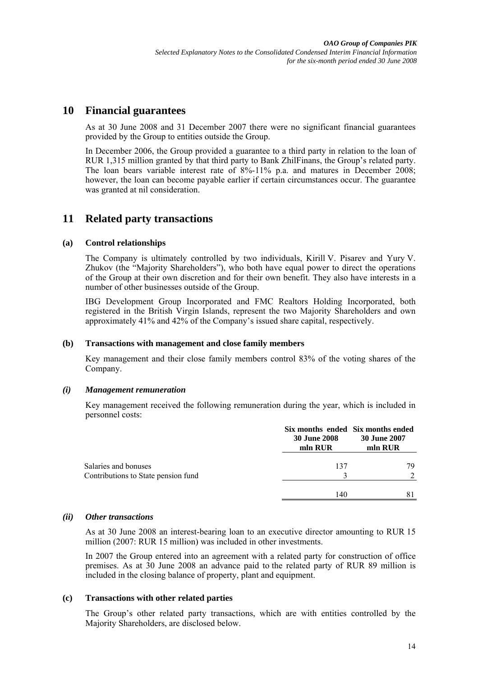# **10 Financial guarantees**

As at 30 June 2008 and 31 December 2007 there were no significant financial guarantees provided by the Group to entities outside the Group.

In December 2006, the Group provided a guarantee to a third party in relation to the loan of RUR 1,315 million granted by that third party to Bank ZhilFinans, the Group's related party. The loan bears variable interest rate of 8%-11% p.a. and matures in December 2008; however, the loan can become payable earlier if certain circumstances occur. The guarantee was granted at nil consideration.

# **11 Related party transactions**

### **(a) Control relationships**

The Company is ultimately controlled by two individuals, Kirill V. Pisarev and Yury V. Zhukov (the "Majority Shareholders"), who both have equal power to direct the operations of the Group at their own discretion and for their own benefit. They also have interests in a number of other businesses outside of the Group.

IBG Development Group Incorporated and FMC Realtors Holding Incorporated, both registered in the British Virgin Islands, represent the two Majority Shareholders and own approximately 41% and 42% of the Company's issued share capital, respectively.

### **(b) Transactions with management and close family members**

Key management and their close family members control 83% of the voting shares of the Company.

### *(i) Management remuneration*

Key management received the following remuneration during the year, which is included in personnel costs:

|                                                             | Six months ended Six months ended<br><b>30 June 2008</b><br>mln RUR | <b>30 June 2007</b><br>mln RUR |
|-------------------------------------------------------------|---------------------------------------------------------------------|--------------------------------|
| Salaries and bonuses<br>Contributions to State pension fund | 137                                                                 | 79                             |
|                                                             | 140                                                                 |                                |

### *(ii) Other transactions*

As at 30 June 2008 an interest-bearing loan to an executive director amounting to RUR 15 million (2007: RUR 15 million) was included in other investments.

In 2007 the Group entered into an agreement with a related party for construction of office premises. As at 30 June 2008 an advance paid to the related party of RUR 89 million is included in the closing balance of property, plant and equipment.

### **(c) Transactions with other related parties**

The Group's other related party transactions, which are with entities controlled by the Majority Shareholders, are disclosed below.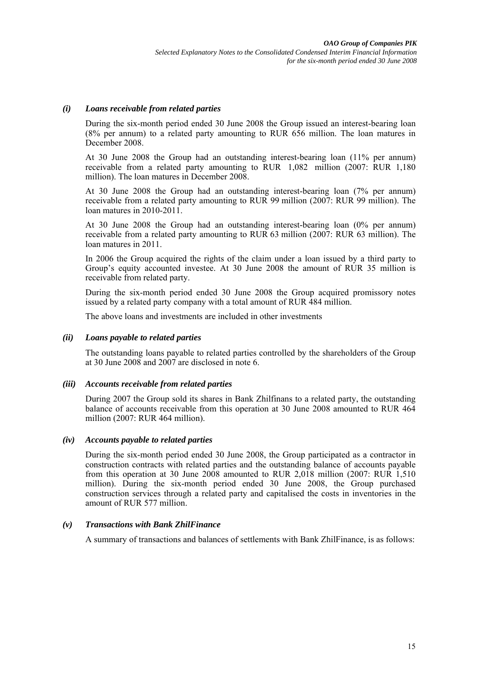### *(i) Loans receivable from related parties*

During the six-month period ended 30 June 2008 the Group issued an interest-bearing loan (8% per annum) to a related party amounting to RUR 656 million. The loan matures in December 2008

At 30 June 2008 the Group had an outstanding interest-bearing loan (11% per annum) receivable from a related party amounting to RUR 1,082 million (2007: RUR 1,180 million). The loan matures in December 2008.

At 30 June 2008 the Group had an outstanding interest-bearing loan (7% per annum) receivable from a related party amounting to RUR 99 million (2007: RUR 99 million). The loan matures in 2010-2011.

At 30 June 2008 the Group had an outstanding interest-bearing loan (0% per annum) receivable from a related party amounting to RUR 63 million (2007: RUR 63 million). The loan matures in 2011.

In 2006 the Group acquired the rights of the claim under a loan issued by a third party to Group's equity accounted investee. At 30 June 2008 the amount of RUR 35 million is receivable from related party.

During the six-month period ended 30 June 2008 the Group acquired promissory notes issued by a related party company with a total amount of RUR 484 million.

The above loans and investments are included in other investments

#### *(ii) Loans payable to related parties*

The outstanding loans payable to related parties controlled by the shareholders of the Group at 30 June 2008 and 2007 are disclosed in note 6.

#### *(iii) Accounts receivable from related parties*

During 2007 the Group sold its shares in Bank Zhilfinans to a related party, the outstanding balance of accounts receivable from this operation at 30 June 2008 amounted to RUR 464 million (2007: RUR 464 million).

#### *(iv) Accounts payable to related parties*

During the six-month period ended 30 June 2008, the Group participated as a contractor in construction contracts with related parties and the outstanding balance of accounts payable from this operation at 30 June 2008 amounted to RUR 2,018 million (2007: RUR 1,510 million). During the six-month period ended 30 June 2008, the Group purchased construction services through a related party and capitalised the costs in inventories in the amount of RUR 577 million.

### *(v) Transactions with Bank ZhilFinance*

A summary of transactions and balances of settlements with Bank ZhilFinance, is as follows: